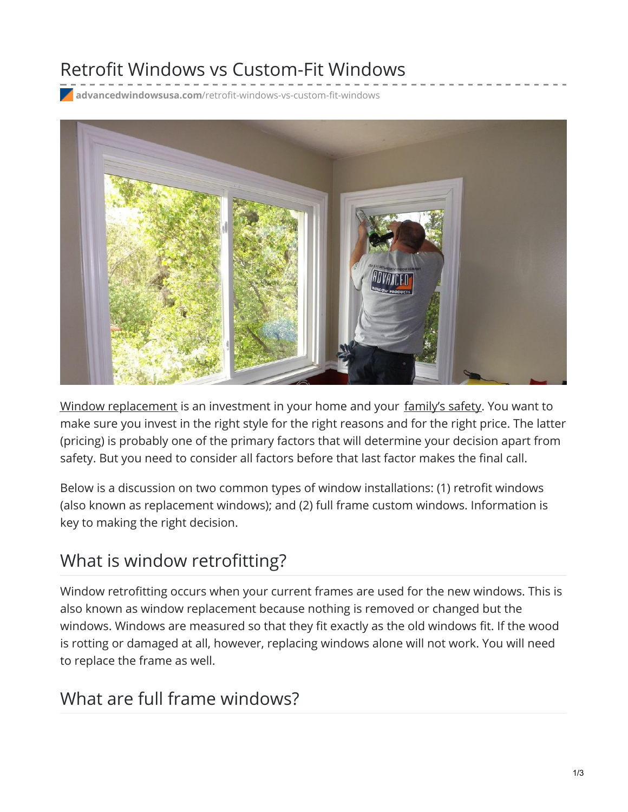# Retrofit Windows vs Custom-Fit Windows

**advancedwindowsusa.com**[/retrofit-windows-vs-custom-fit-windows](https://advancedwindowsusa.com/retrofit-windows-vs-custom-fit-windows)



Window [replacement](https://advancedwindowsusa.com/salt-lake-city-window-replacement-company) is an investment in your home and your [family's](https://advancedwindowsusa.com/home-safety-in-utah) safety. You want to make sure you invest in the right style for the right reasons and for the right price. The latter (pricing) is probably one of the primary factors that will determine your decision apart from safety. But you need to consider all factors before that last factor makes the final call.

Below is a discussion on two common types of window installations: (1) retrofit windows (also known as replacement windows); and (2) full frame custom windows. Information is key to making the right decision.

# What is window retrofitting?

Window retrofitting occurs when your current frames are used for the new windows. This is also known as window replacement because nothing is removed or changed but the windows. Windows are measured so that they fit exactly as the old windows fit. If the wood is rotting or damaged at all, however, replacing windows alone will not work. You will need to replace the frame as well.

## What are full frame windows?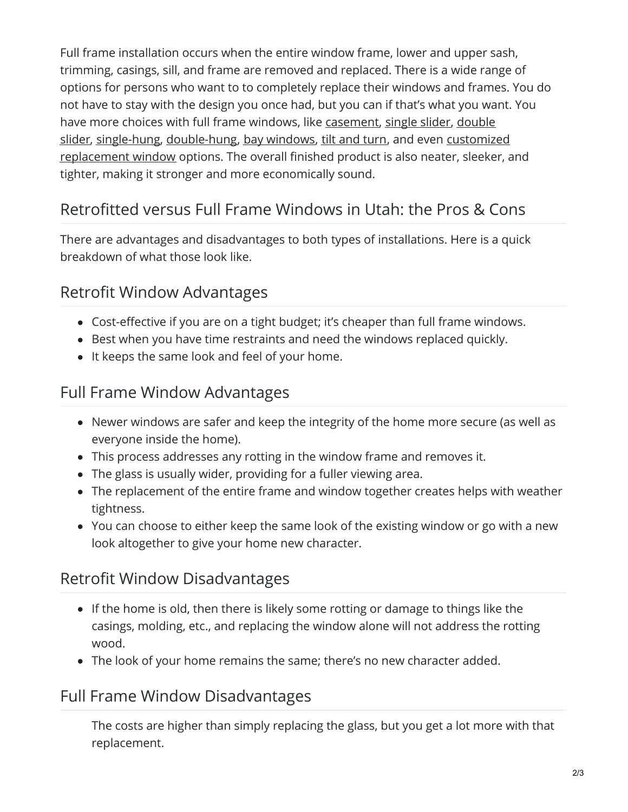Full frame installation occurs when the entire window frame, lower and upper sash, trimming, casings, sill, and frame are removed and replaced. There is a wide range of options for persons who want to to completely replace their windows and frames. You do not have to stay with the design you once had, but you can if that's what you want. You have more choices with full frame windows, like [casement](https://advancedwindowsusa.com/casement-windows-utah-imperial-line), [single](https://advancedwindowsusa.com/single-slider-windows) slider, double slider, [single-hung](https://advancedwindowsusa.com/single-hung-windows), [double-hung,](https://advancedwindowsusa.com/custom-shaped-windows) bay [windows](https://advancedwindowsusa.com/bay-windows-vs-bow-windows), tilt and [turn](https://advancedwindowsusa.com/tilt-turn-windows), and even customized replacement window options. The overall finished product is also neater, sleeker, and tighter, making it stronger and more economically sound.

### Retrofitted versus Full Frame Windows in Utah: the Pros & Cons

There are advantages and disadvantages to both types of installations. Here is a quick breakdown of what those look like.

#### Retrofit Window Advantages

- Cost-effective if you are on a tight budget; it's cheaper than full frame windows.
- Best when you have time restraints and need the windows replaced quickly.
- It keeps the same look and feel of your home.

#### Full Frame Window Advantages

- Newer windows are safer and keep the integrity of the home more secure (as well as everyone inside the home).
- This process addresses any rotting in the window frame and removes it.
- The glass is usually wider, providing for a fuller viewing area.
- The replacement of the entire frame and window together creates helps with weather tightness.
- You can choose to either keep the same look of the existing window or go with a new look altogether to give your home new character.

#### Retrofit Window Disadvantages

- If the home is old, then there is likely some rotting or damage to things like the casings, molding, etc., and replacing the window alone will not address the rotting wood.
- The look of your home remains the same; there's no new character added.

#### Full Frame Window Disadvantages

The costs are higher than simply replacing the glass, but you get a lot more with that replacement.